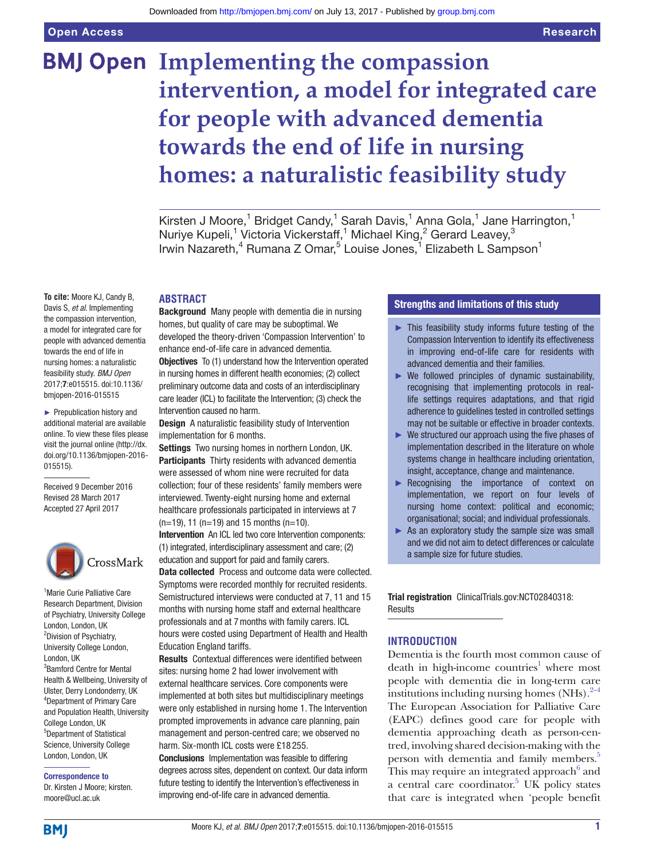# **BMJ Open Implementing the compassion intervention, a model for integrated care for people with advanced dementia towards the end of life in nursing homes: a naturalistic feasibility study**

Kirsten J Moore,<sup>1</sup> Bridget Candy,<sup>1</sup> Sarah Davis,<sup>1</sup> Anna Gola,<sup>1</sup> Jane Harrington,<sup>1</sup> Nuriye Kupeli,<sup>1</sup> Victoria Vickerstaff,<sup>1</sup> Michael King,<sup>2</sup> Gerard Leavey,<sup>3</sup> Irwin Nazareth,<sup>4</sup> Rumana Z Omar,<sup>5</sup> Louise Jones,<sup>1</sup> Elizabeth L Sampson<sup>1</sup>

#### **Abstract**

**To cite:** Moore KJ, Candy B, Davis S, *et al*. Implementing the compassion intervention, a model for integrated care for people with advanced dementia towards the end of life in nursing homes: a naturalistic feasibility study. *BMJ Open* 2017;7:e015515. doi:10.1136/ bmjopen-2016-015515

► Prepublication history and additional material are available online. To view these files please visit the journal online [\(http://dx.](http://dx.doi.org/10.1136/bmjopen-2016-015515) [doi.org/10.1136/bmjopen-2016-](http://dx.doi.org/10.1136/bmjopen-2016-015515) [015515\)](http://dx.doi.org/10.1136/bmjopen-2016-015515).

Received 9 December 2016 Revised 28 March 2017 Accepted 27 April 2017



<sup>1</sup> Marie Curie Palliative Care Research Department, Division of Psychiatry, University College London, London, UK 2 Division of Psychiatry, University College London, London, UK 3 Bamford Centre for Mental Health & Wellbeing, University of Ulster, Derry Londonderry, UK 4 Department of Primary Care and Population Health, University College London, UK 5 Department of Statistical Science, University College London, London, UK

# Correspondence to

Dr. Kirsten J Moore; kirsten. moore@ucl.ac.uk

Background Many people with dementia die in nursing homes, but quality of care may be suboptimal. We developed the theory-driven 'Compassion Intervention' to enhance end-of-life care in advanced dementia. **Objectives** To (1) understand how the Intervention operated in nursing homes in different health economies; (2) collect preliminary outcome data and costs of an interdisciplinary care leader (ICL) to facilitate the Intervention; (3) check the Intervention caused no harm.

**Design** A naturalistic feasibility study of Intervention implementation for 6 months.

Settings Two nursing homes in northern London, UK. Participants Thirty residents with advanced dementia were assessed of whom nine were recruited for data collection; four of these residents' family members were interviewed. Twenty-eight nursing home and external healthcare professionals participated in interviews at 7  $(n=19)$ , 11 (n=19) and 15 months (n=10).

Intervention An ICL led two core Intervention components: (1) integrated, interdisciplinary assessment and care; (2) education and support for paid and family carers.

Data collected Process and outcome data were collected. Symptoms were recorded monthly for recruited residents. Semistructured interviews were conducted at 7, 11 and 15 months with nursing home staff and external healthcare professionals and at 7months with family carers. ICL hours were costed using Department of Health and Health Education England tariffs.

Results Contextual differences were identified between sites: nursing home 2 had lower involvement with external healthcare services. Core components were implemented at both sites but multidisciplinary meetings were only established in nursing home 1. The Intervention prompted improvements in advance care planning, pain management and person-centred care; we observed no harm. Six-month ICL costs were £18 255.

Conclusions Implementation was feasible to differing degrees across sites, dependent on context. Our data inform future testing to identify the Intervention's effectiveness in improving end-of-life care in advanced dementia.

#### Strengths and limitations of this study

- ► This feasibility study informs future testing of the Compassion Intervention to identify its effectiveness in improving end-of-life care for residents with advanced dementia and their families.
- $\triangleright$  We followed principles of dynamic sustainability, recognising that implementing protocols in reallife settings requires adaptations, and that rigid adherence to guidelines tested in controlled settings may not be suitable or effective in broader contexts.
- $\blacktriangleright$  We structured our approach using the five phases of implementation described in the literature on whole systems change in healthcare including orientation, insight, acceptance, change and maintenance.
- ► Recognising the importance of context on implementation, we report on four levels of nursing home context: political and economic; organisational; social; and individual professionals.
- $\triangleright$  As an exploratory study the sample size was small and we did not aim to detect differences or calculate a sample size for future studies.

Trial registration ClinicalTrials.gov:NCT02840318: **Results** 

### **Introduction**

Dementia is the fourth most common cause of death in high-income countries<sup>[1](#page-13-0)</sup> where most people with dementia die in long-term care institutions including nursing homes  $(NHs).^{2-4}$ The European Association for Palliative Care (EAPC) defines good care for people with dementia approaching death as person-centred, involving shared decision-making with the person with dementia and family members.<sup>5</sup> This may require an integrated approach $6$  and a central care coordinator.<sup>5</sup> UK policy states that care is integrated when 'people benefit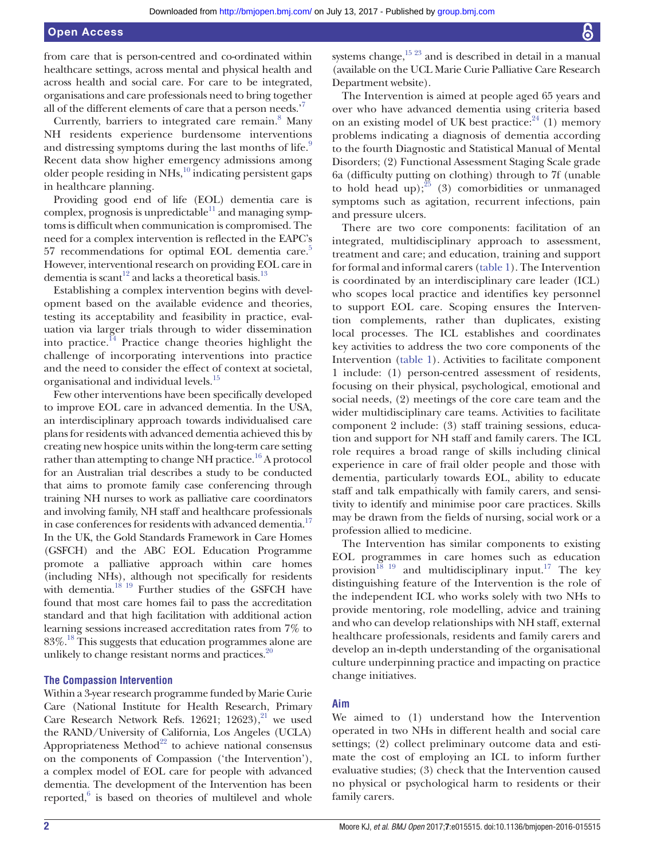from care that is person-centred and co-ordinated within healthcare settings, across mental and physical health and across health and social care. For care to be integrated, organisations and care professionals need to bring together all of the different elements of care that a person needs.'[7](#page-13-4)

Currently, barriers to integrated care remain.<sup>8</sup> Many NH residents experience burdensome interventions and distressing symptoms during the last months of life.<sup>[9](#page-13-6)</sup> Recent data show higher emergency admissions among older people residing in NHs, $^{10}$  indicating persistent gaps in healthcare planning.

Providing good end of life (EOL) dementia care is complex, prognosis is unpredictable $^{11}$  $^{11}$  $^{11}$  and managing symptoms is difficult when communication is compromised. The need for a complex intervention is reflected in the EAPC's 57 recommendations for optimal EOL dementia care.<sup>5</sup> However, interventional research on providing EOL care in dementia is scant<sup>12</sup> and lacks a theoretical basis.<sup>13</sup>

Establishing a complex intervention begins with development based on the available evidence and theories, testing its acceptability and feasibility in practice, evaluation via larger trials through to wider dissemination into practice.<sup>[14](#page-13-11)</sup> Practice change theories highlight the challenge of incorporating interventions into practice and the need to consider the effect of context at societal, organisational and individual levels.<sup>[15](#page-13-12)</sup>

Few other interventions have been specifically developed to improve EOL care in advanced dementia. In the USA, an interdisciplinary approach towards individualised care plans for residents with advanced dementia achieved this by creating new hospice units within the long-term care setting rather than attempting to change NH practice.<sup>16</sup> A protocol for an Australian trial describes a study to be conducted that aims to promote family case conferencing through training NH nurses to work as palliative care coordinators and involving family, NH staff and healthcare professionals in case conferences for residents with advanced dementia.<sup>[17](#page-13-14)</sup> In the UK, the Gold Standards Framework in Care Homes (GSFCH) and the ABC EOL Education Programme promote a palliative approach within care homes (including NHs), although not specifically for residents with dementia.<sup>18 19</sup> Further studies of the GSFCH have found that most care homes fail to pass the accreditation standard and that high facilitation with additional action learning sessions increased accreditation rates from 7% to  $83\%$ .<sup>18</sup> This suggests that education programmes alone are unlikely to change resistant norms and practices. $20$ 

#### **The Compassion Intervention**

Within a 3-year research programme funded by Marie Curie Care (National Institute for Health Research, Primary Care Research Network Refs. 126[21](#page-13-17); 12623),<sup>21</sup> we used the RAND/University of California, Los Angeles (UCLA) Appropriateness Method<sup>[22](#page-13-18)</sup> to achieve national consensus on the components of Compassion ('the Intervention'), a complex model of EOL care for people with advanced dementia. The development of the Intervention has been reported, $6$  is based on theories of multilevel and whole

systems change, $15\frac{23}{3}$  and is described in detail in a manual (available on the UCL Marie Curie Palliative Care Research Department website).

The Intervention is aimed at people aged 65 years and over who have advanced dementia using criteria based on an existing model of UK best practice: $24$  (1) memory problems indicating a diagnosis of dementia according to the fourth Diagnostic and Statistical Manual of Mental Disorders; (2) Functional Assessment Staging Scale grade 6a (difficulty putting on clothing) through to 7f (unable to hold head up);  $25$  (3) comorbidities or unmanaged symptoms such as agitation, recurrent infections, pain and pressure ulcers.

There are two core components: facilitation of an integrated, multidisciplinary approach to assessment, treatment and care; and education, training and support for formal and informal carers [\(table](#page-2-0) 1). The Intervention is coordinated by an interdisciplinary care leader (ICL) who scopes local practice and identifies key personnel to support EOL care. Scoping ensures the Intervention complements, rather than duplicates, existing local processes. The ICL establishes and coordinates key activities to address the two core components of the Intervention [\(table](#page-2-0) 1). Activities to facilitate component 1 include: (1) person-centred assessment of residents, focusing on their physical, psychological, emotional and social needs, (2) meetings of the core care team and the wider multidisciplinary care teams. Activities to facilitate component 2 include: (3) staff training sessions, education and support for NH staff and family carers. The ICL role requires a broad range of skills including clinical experience in care of frail older people and those with dementia, particularly towards EOL, ability to educate staff and talk empathically with family carers, and sensitivity to identify and minimise poor care practices. Skills may be drawn from the fields of nursing, social work or a profession allied to medicine.

The Intervention has similar components to existing EOL programmes in care homes such as education provision<sup>18 19</sup> and multidisciplinary input.<sup>17</sup> The key distinguishing feature of the Intervention is the role of the independent ICL who works solely with two NHs to provide mentoring, role modelling, advice and training and who can develop relationships with NH staff, external healthcare professionals, residents and family carers and develop an in-depth understanding of the organisational culture underpinning practice and impacting on practice change initiatives.

#### **Aim**

We aimed to (1) understand how the Intervention operated in two NHs in different health and social care settings; (2) collect preliminary outcome data and estimate the cost of employing an ICL to inform further evaluative studies; (3) check that the Intervention caused no physical or psychological harm to residents or their family carers.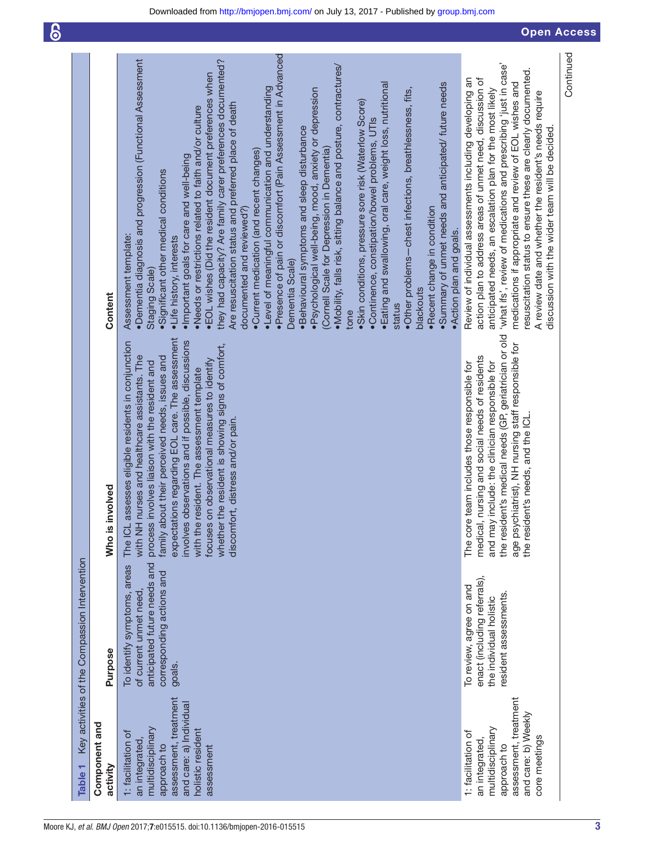<span id="page-2-0"></span>

| Table <sub>1</sub>                                                                                                                                              | Key activities of the Compassion Intervention                                                                                |                                                                                                                                                                                                                                                                                                                                                                                                                                                                                                           |                                                                                                                                                                                                                                                                                                                                                                                                                                                                                                                                                                                                                                                                                                                                                                                                                                                                                                                                                                                                                                                                                                                                                                                                                                                                                                             |
|-----------------------------------------------------------------------------------------------------------------------------------------------------------------|------------------------------------------------------------------------------------------------------------------------------|-----------------------------------------------------------------------------------------------------------------------------------------------------------------------------------------------------------------------------------------------------------------------------------------------------------------------------------------------------------------------------------------------------------------------------------------------------------------------------------------------------------|-------------------------------------------------------------------------------------------------------------------------------------------------------------------------------------------------------------------------------------------------------------------------------------------------------------------------------------------------------------------------------------------------------------------------------------------------------------------------------------------------------------------------------------------------------------------------------------------------------------------------------------------------------------------------------------------------------------------------------------------------------------------------------------------------------------------------------------------------------------------------------------------------------------------------------------------------------------------------------------------------------------------------------------------------------------------------------------------------------------------------------------------------------------------------------------------------------------------------------------------------------------------------------------------------------------|
| Component and<br>activity                                                                                                                                       | Purpose                                                                                                                      | Who is involved                                                                                                                                                                                                                                                                                                                                                                                                                                                                                           | Content                                                                                                                                                                                                                                                                                                                                                                                                                                                                                                                                                                                                                                                                                                                                                                                                                                                                                                                                                                                                                                                                                                                                                                                                                                                                                                     |
| assessment, treatment<br>and care: a) Individual<br>multidisciplinary<br>holistic resident<br>1: facilitation of<br>an integrated,<br>approach to<br>assessment | anticipated future needs and<br>To identify symptoms, areas<br>corresponding actions and<br>of current unmet need,<br>goals. | expectations regarding EOL care. The assessment<br>involves observations and if possible, discussions<br>The ICL assesses eligible residents in conjunction<br>whether the resident is showing signs of comfort,<br>with NH nurses and healthcare assistants. The<br>family about their perceived needs, issues and<br>focuses on observational measures to identify<br>process involves liaison with the resident and<br>with the resident. The assessment template<br>discomfort, distress and/or pain. | ·Presence of pain or discomfort (Pain Assessment in Advanced<br>·Dementia diagnosis and progression (Functional Assessment<br>they had capacity? Are family carer preferences documented?<br>. Mobility, falls risk, sitting balance and posture, contractures/<br>•EOL wishes (Did the resident document preferences when<br>· Eating and swallowing, oral care, weight loss, nutritional<br>·Summary of unmet needs and anticipated/ future needs<br>•Level of meaningful communication and understanding<br>·Other problems-chest infections, breathlessness, fits,<br>·Psychological well-being, mood, anxiety or depression<br>·Skin conditions, pressure sore risk (Waterlow Score)<br>Are resuscitation status and preferred place of death<br>.Needs or restrictions related to faith and/or culture<br>·Continence, constipation/bowel problems, UTIs<br>. Behavioural symptoms and sleep disturbance<br>(Cornell Scale for Depression in Dementia)<br>•Current medication (and recent changes)<br>Important goals for care and well-being<br>·Significant other medical conditions<br>·Recent change in condition<br>documented and reviewed?)<br>•Action plan and goals.<br>Assessment template:<br>·Life history, interests<br>Dementia Scale)<br>Staging Scale)<br>blackouts<br>status<br>tone |
| assessment, treatment<br>and care: b) Weekly<br>multidisciplinary<br>1: facilitation of<br>core meetings<br>an integrated<br>approach to                        | enact (including referrals),<br>To review, agree on and<br>resident assessments.<br>the individual holistic                  | the resident's medical needs (GP, geriatrician or old<br>age psychiatrist), NH nursing staff responsible for<br>medical, nursing and social needs of residents<br>include: the clinician responsible for<br>team includes those responsible for<br>the resident's needs, and the ICL.<br>and may<br>The core                                                                                                                                                                                              | 'what ifs', review of medications and prescribing 'just in case'<br>resuscitation status to ensure these are clearly documented.<br>Review of individual assessments including developing an<br>action plan to address areas of unmet need, discussion of<br>medications if appropriate and review of EOL wishes and<br>anticipated needs, an escalation plan for the most likely<br>A review date and whether the resident's needs require<br>discussion with the wider team will be decided.                                                                                                                                                                                                                                                                                                                                                                                                                                                                                                                                                                                                                                                                                                                                                                                                              |
|                                                                                                                                                                 |                                                                                                                              |                                                                                                                                                                                                                                                                                                                                                                                                                                                                                                           | Continued                                                                                                                                                                                                                                                                                                                                                                                                                                                                                                                                                                                                                                                                                                                                                                                                                                                                                                                                                                                                                                                                                                                                                                                                                                                                                                   |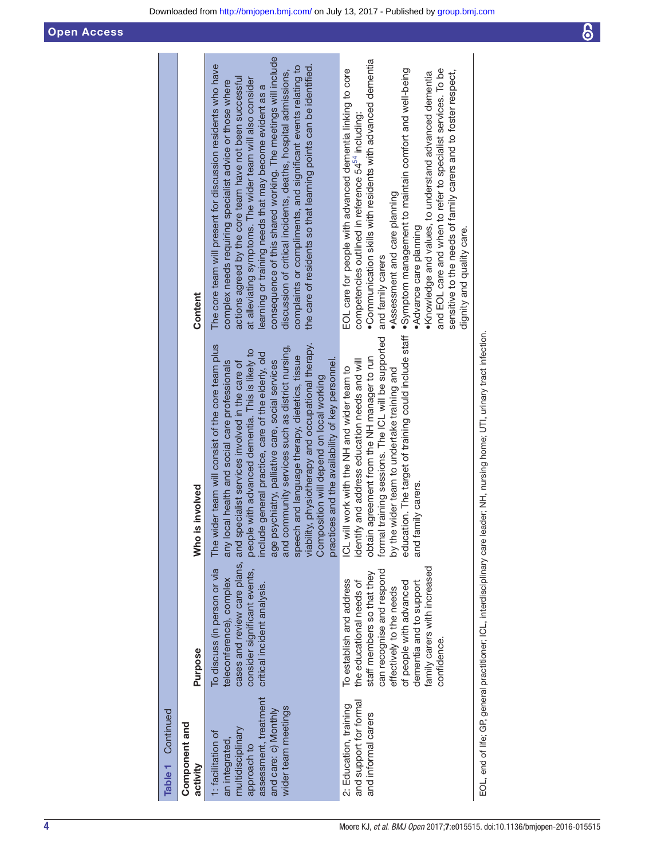Downloaded from<http://bmjopen.bmj.com/>on July 13, 2017 - Published by [group.bmj.com](http://group.bmj.com)

| Component and<br>activity                                                                                                                        | Purpose                                                                                                                                                                                                                           | Who is involved                                                                                                                                                                                                                                                                                                                                                                                                                                                                                                                                                                    | Content                                                                                                                                                                                                                                                                                                                                                                                                                                                                                                                                                                               |
|--------------------------------------------------------------------------------------------------------------------------------------------------|-----------------------------------------------------------------------------------------------------------------------------------------------------------------------------------------------------------------------------------|------------------------------------------------------------------------------------------------------------------------------------------------------------------------------------------------------------------------------------------------------------------------------------------------------------------------------------------------------------------------------------------------------------------------------------------------------------------------------------------------------------------------------------------------------------------------------------|---------------------------------------------------------------------------------------------------------------------------------------------------------------------------------------------------------------------------------------------------------------------------------------------------------------------------------------------------------------------------------------------------------------------------------------------------------------------------------------------------------------------------------------------------------------------------------------|
| assessment, treatment<br>wider team meetings<br>and care: c) Monthly<br>multidisciplinary<br>1: facilitation of<br>an integrated,<br>approach to | cases and review care plans, and<br>To discuss (in person or via<br>consider significant events,<br>teleconference), complex<br>critical incident analysis.                                                                       | The wider team will consist of the core team plus<br>viability, physiotherapy and occupational therapy.<br>community services such as district nursing,<br>people with advanced dementia. This is likely to<br>include general practice, care of the elderly, old<br>speech and language therapy, dietetics, tissue<br>practices and the availability of key personnel.<br>local health and social care professionals<br>age psychiatry, palliative care, social services<br>specialist services involved in the care of<br>Composition will depend on local working<br>any<br>and | consequence of this shared working. The meetings will include<br>The core team will present for discussion residents who have<br>the care of residents so that learning points can be identified.<br>complaints or compliments, and significant events relating to<br>discussion of critical incidents, deaths, hospital admissions,<br>actions agreed by the core team have not been successful<br>at alleviating symptoms. The wider team will also consider<br>complex needs requiring specialist advice or those where<br>learning or training needs that may become evident as a |
| and support for formal<br>2: Education, training<br>and informal carers                                                                          | family carers with increased<br>can recognise and respond<br>staff members so that they<br>To establish and address<br>the educational needs of<br>dementia and to support<br>of people with advanced<br>effectively to the needs | formal training sessions. The ICL will be supported<br>obtain agreement from the NH manager to run<br>identify and address education needs and will<br>ICL will work with the NH and wider team to<br>by the wider team to undertake training and<br>and family carers.                                                                                                                                                                                                                                                                                                            | •Communication skills with residents with advanced dementia<br>EOL care for people with advanced dementia linking to core<br>education. The target of training could include staff . Symptom management to maintain comfort and well-being<br>. Knowledge and values, to understand advanced demential<br>competencies outlined in reference 54 <sup>54</sup> including:<br>·Assessment and care planning<br>•Advance care planning<br>and family carers                                                                                                                              |

EOL, end of life; GP, general practitioner; ICL, interdisciplinary care leader; NH, nursing home; UTI, urinary tract infection. EOL, end of life; GP, general practitioner; ICL, interdisciplinary care leader; NH, nursing home; UTI, urinary tract infection.

•Knowledge and values, to understand advanced dementia and EOL care and when to refer to specialist services. To be sensitive to the needs of family carers and to foster respect,

and EOL care and when to refer to specialist services. To be

sensitive to the needs of family carers and to foster respect,

dignity and quality care.

dignity and quality care.

confidence.

confidence.

Component and

Table 1 Continued

Continued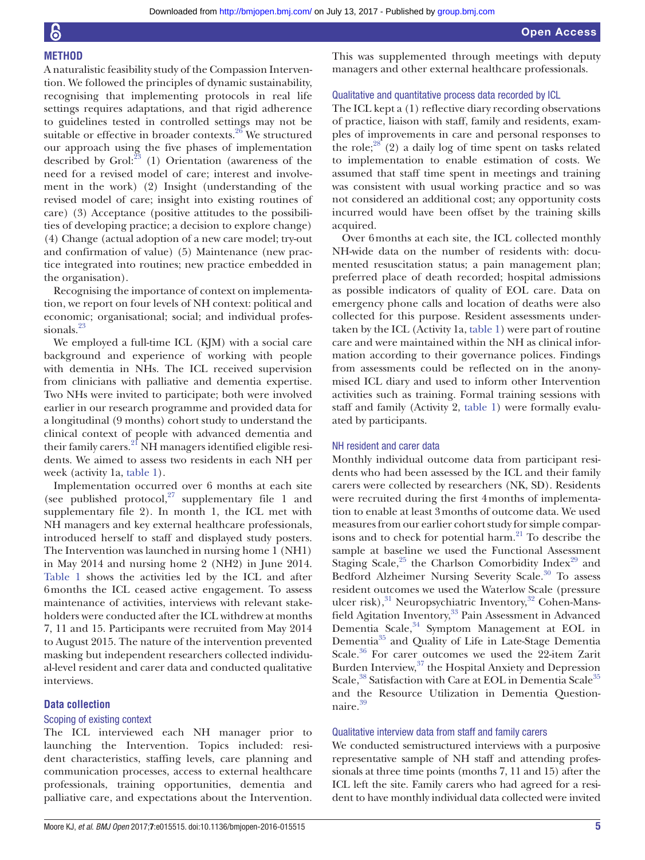#### **Method**

A naturalistic feasibility study of the Compassion Intervention. We followed the principles of dynamic sustainability, recognising that implementing protocols in real life settings requires adaptations, and that rigid adherence to guidelines tested in controlled settings may not be suitable or effective in broader contexts.<sup>[26](#page-13-21)</sup> We structured our approach using the five phases of implementation described by Grol: $^{23}$  $^{23}$  $^{23}$  (1) Orientation (awareness of the need for a revised model of care; interest and involvement in the work) (2) Insight (understanding of the revised model of care; insight into existing routines of care) (3) Acceptance (positive attitudes to the possibilities of developing practice; a decision to explore change) (4) Change (actual adoption of a new care model; try-out and confirmation of value) (5) Maintenance (new practice integrated into routines; new practice embedded in the organisation).

Recognising the importance of context on implementation, we report on four levels of NH context: political and economic; organisational; social; and individual profes-sionals.<sup>[23](#page-13-22)</sup>

We employed a full-time ICL (KJM) with a social care background and experience of working with people with dementia in NHs. The ICL received supervision from clinicians with palliative and dementia expertise. Two NHs were invited to participate; both were involved earlier in our research programme and provided data for a longitudinal (9 months) cohort study to understand the clinical context of people with advanced dementia and their family carers.<sup>21</sup> NH managers identified eligible residents. We aimed to assess two residents in each NH per week (activity 1a, [table](#page-2-0) 1).

Implementation occurred over 6 months at each site (see published protocol, $27$  supplementary file 1 and supplementary file 2). In month 1, the ICL met with NH managers and key external healthcare professionals, introduced herself to staff and displayed study posters. The Intervention was launched in nursing home 1 (NH1) in May 2014 and nursing home 2 (NH2) in June 2014. [Table](#page-2-0) 1 shows the activities led by the ICL and after 6months the ICL ceased active engagement. To assess maintenance of activities, interviews with relevant stakeholders were conducted after the ICL withdrew at months 7, 11 and 15. Participants were recruited from May 2014 to August 2015. The nature of the intervention prevented masking but independent researchers collected individual-level resident and carer data and conducted qualitative interviews.

#### **Data collection**

#### Scoping of existing context

The ICL interviewed each NH manager prior to launching the Intervention. Topics included: resident characteristics, staffing levels, care planning and communication processes, access to external healthcare professionals, training opportunities, dementia and palliative care, and expectations about the Intervention.

This was supplemented through meetings with deputy managers and other external healthcare professionals.

#### Qualitative and quantitative process data recorded by ICL

The ICL kept a (1) reflective diary recording observations of practice, liaison with staff, family and residents, examples of improvements in care and personal responses to the role; $28$  (2) a daily log of time spent on tasks related to implementation to enable estimation of costs. We assumed that staff time spent in meetings and training was consistent with usual working practice and so was not considered an additional cost; any opportunity costs incurred would have been offset by the training skills acquired.

Over 6months at each site, the ICL collected monthly NH-wide data on the number of residents with: documented resuscitation status; a pain management plan; preferred place of death recorded; hospital admissions as possible indicators of quality of EOL care. Data on emergency phone calls and location of deaths were also collected for this purpose. Resident assessments undertaken by the ICL (Activity 1a, [table](#page-2-0) 1) were part of routine care and were maintained within the NH as clinical information according to their governance polices. Findings from assessments could be reflected on in the anonymised ICL diary and used to inform other Intervention activities such as training. Formal training sessions with staff and family (Activity 2, [table](#page-2-0) 1) were formally evaluated by participants.

#### NH resident and carer data

Monthly individual outcome data from participant residents who had been assessed by the ICL and their family carers were collected by researchers (NK, SD). Residents were recruited during the first 4months of implementation to enable at least 3months of outcome data. We used measures from our earlier cohort study for simple comparisons and to check for potential harm[.21](#page-13-17) To describe the sample at baseline we used the Functional Assessment Staging Scale,<sup>[25](#page-13-20)</sup> the Charlson Comorbidity Index<sup>29</sup> and Bedford Alzheimer Nursing Severity Scale.<sup>30</sup> To assess resident outcomes we used the Waterlow Scale (pressure ulcer risk),<sup>31</sup> Neuropsychiatric Inventory,<sup>32</sup> Cohen-Mans-field Agitation Inventory,<sup>[33](#page-13-29)</sup> Pain Assessment in Advanced Dementia Scale,<sup>34</sup> Symptom Management at EOL in Dementia[35](#page-13-31) and Quality of Life in Late-Stage Dementia Scale.<sup>36</sup> For carer outcomes we used the 22-item Zarit Burden Interview, $37$  the Hospital Anxiety and Depression Scale,<sup>38</sup> Satisfaction with Care at EOL in Dementia Scale<sup>[35](#page-13-31)</sup> and the Resource Utilization in Dementia Question-naire.<sup>[39](#page-13-35)</sup>

#### Qualitative interview data from staff and family carers

We conducted semistructured interviews with a purposive representative sample of NH staff and attending professionals at three time points (months 7, 11 and 15) after the ICL left the site. Family carers who had agreed for a resident to have monthly individual data collected were invited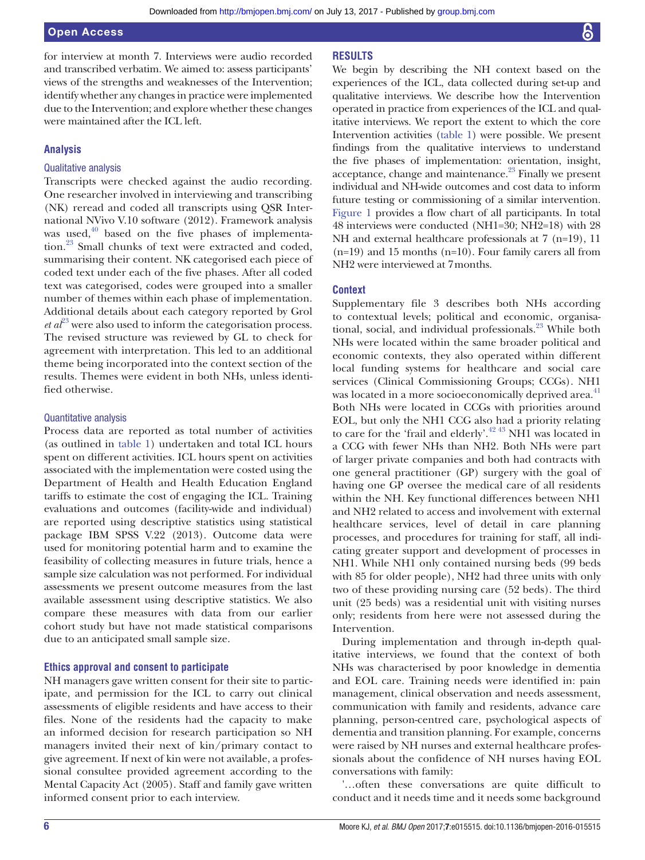Open Access

for interview at month 7. Interviews were audio recorded and transcribed verbatim. We aimed to: assess participants' views of the strengths and weaknesses of the Intervention; identify whether any changes in practice were implemented due to the Intervention; and explore whether these changes were maintained after the ICL left.

#### **Analysis**

#### Qualitative analysis

Transcripts were checked against the audio recording. One researcher involved in interviewing and transcribing (NK) reread and coded all transcripts using QSR International NVivo V.10 software (2012). Framework analysis was used, $40$  based on the five phases of implementation.<sup>23</sup> Small chunks of text were extracted and coded, summarising their content. NK categorised each piece of coded text under each of the five phases. After all coded text was categorised, codes were grouped into a smaller number of themes within each phase of implementation. Additional details about each category reported by Grol  $et \, d\ell^3$  were also used to inform the categorisation process. The revised structure was reviewed by GL to check for agreement with interpretation. This led to an additional theme being incorporated into the context section of the results. Themes were evident in both NHs, unless identified otherwise.

#### Quantitative analysis

Process data are reported as total number of activities (as outlined in [table](#page-2-0) 1) undertaken and total ICL hours spent on different activities. ICL hours spent on activities associated with the implementation were costed using the Department of Health and Health Education England tariffs to estimate the cost of engaging the ICL. Training evaluations and outcomes (facility-wide and individual) are reported using descriptive statistics using statistical package IBM SPSS V.22 (2013). Outcome data were used for monitoring potential harm and to examine the feasibility of collecting measures in future trials, hence a sample size calculation was not performed. For individual assessments we present outcome measures from the last available assessment using descriptive statistics. We also compare these measures with data from our earlier cohort study but have not made statistical comparisons due to an anticipated small sample size.

#### **Ethics approval and consent to participate**

NH managers gave written consent for their site to participate, and permission for the ICL to carry out clinical assessments of eligible residents and have access to their files. None of the residents had the capacity to make an informed decision for research participation so NH managers invited their next of kin/primary contact to give agreement. If next of kin were not available, a professional consultee provided agreement according to the Mental Capacity Act (2005). Staff and family gave written informed consent prior to each interview.

#### **Results**

We begin by describing the NH context based on the experiences of the ICL, data collected during set-up and qualitative interviews. We describe how the Intervention operated in practice from experiences of the ICL and qualitative interviews. We report the extent to which the core Intervention activities [\(table](#page-2-0) 1) were possible. We present findings from the qualitative interviews to understand the five phases of implementation: orientation, insight, acceptance, change and maintenance.<sup>23</sup> Finally we present individual and NH-wide outcomes and cost data to inform future testing or commissioning of a similar intervention. [Figure](#page-6-0) 1 provides a flow chart of all participants. In total 48 interviews were conducted (NH1=30; NH2=18) with 28 NH and external healthcare professionals at 7 (n=19), 11  $(n=19)$  and 15 months  $(n=10)$ . Four family carers all from NH2 were interviewed at 7months.

#### **Context**

Supplementary file 3 describes both NHs according to contextual levels; political and economic, organisational, social, and individual professionals.<sup>23</sup> While both NHs were located within the same broader political and economic contexts, they also operated within different local funding systems for healthcare and social care services (Clinical Commissioning Groups; CCGs). NH1 was located in a more socioeconomically deprived area.<sup>41</sup> Both NHs were located in CCGs with priorities around EOL, but only the NH1 CCG also had a priority relating to care for the 'frail and elderly'.<sup>42 43</sup> NH1 was located in a CCG with fewer NHs than NH2. Both NHs were part of larger private companies and both had contracts with one general practitioner (GP) surgery with the goal of having one GP oversee the medical care of all residents within the NH. Key functional differences between NH1 and NH2 related to access and involvement with external healthcare services, level of detail in care planning processes, and procedures for training for staff, all indicating greater support and development of processes in NH1. While NH1 only contained nursing beds (99 beds with 85 for older people), NH2 had three units with only two of these providing nursing care (52 beds). The third unit (25 beds) was a residential unit with visiting nurses only; residents from here were not assessed during the Intervention.

During implementation and through in-depth qualitative interviews, we found that the context of both NHs was characterised by poor knowledge in dementia and EOL care. Training needs were identified in: pain management, clinical observation and needs assessment, communication with family and residents, advance care planning, person-centred care, psychological aspects of dementia and transition planning. For example, concerns were raised by NH nurses and external healthcare professionals about the confidence of NH nurses having EOL conversations with family:

'…often these conversations are quite difficult to conduct and it needs time and it needs some background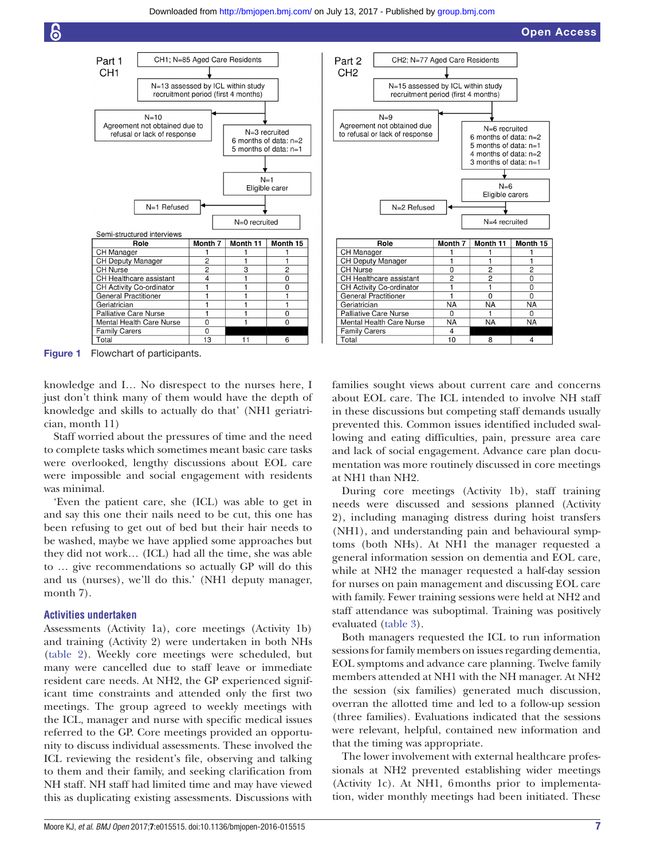

<span id="page-6-0"></span>Figure 1 Flowchart of participants.

knowledge and I… No disrespect to the nurses here, I just don't think many of them would have the depth of knowledge and skills to actually do that' (NH1 geriatrician, month 11)

Staff worried about the pressures of time and the need to complete tasks which sometimes meant basic care tasks were overlooked, lengthy discussions about EOL care were impossible and social engagement with residents was minimal.

'Even the patient care, she (ICL) was able to get in and say this one their nails need to be cut, this one has been refusing to get out of bed but their hair needs to be washed, maybe we have applied some approaches but they did not work… (ICL) had all the time, she was able to … give recommendations so actually GP will do this and us (nurses), we'll do this.' (NH1 deputy manager, month 7).

#### **Activities undertaken**

Assessments (Activity 1a), core meetings (Activity 1b) and training (Activity 2) were undertaken in both NHs ([table](#page-7-0) 2). Weekly core meetings were scheduled, but many were cancelled due to staff leave or immediate resident care needs. At NH2, the GP experienced significant time constraints and attended only the first two meetings. The group agreed to weekly meetings with the ICL, manager and nurse with specific medical issues referred to the GP. Core meetings provided an opportunity to discuss individual assessments. These involved the ICL reviewing the resident's file, observing and talking to them and their family, and seeking clarification from NH staff. NH staff had limited time and may have viewed this as duplicating existing assessments. Discussions with

families sought views about current care and concerns about EOL care. The ICL intended to involve NH staff in these discussions but competing staff demands usually prevented this. Common issues identified included swallowing and eating difficulties, pain, pressure area care and lack of social engagement. Advance care plan documentation was more routinely discussed in core meetings at NH1 than NH2.

During core meetings (Activity 1b), staff training needs were discussed and sessions planned (Activity 2), including managing distress during hoist transfers (NH1), and understanding pain and behavioural symptoms (both NHs). At NH1 the manager requested a general information session on dementia and EOL care, while at NH2 the manager requested a half-day session for nurses on pain management and discussing EOL care with family. Fewer training sessions were held at NH2 and staff attendance was suboptimal. Training was positively evaluated [\(table](#page-8-0) 3).

Both managers requested the ICL to run information sessions for family members on issues regarding dementia, EOL symptoms and advance care planning. Twelve family members attended at NH1 with the NH manager. At NH2 the session (six families) generated much discussion, overran the allotted time and led to a follow-up session (three families). Evaluations indicated that the sessions were relevant, helpful, contained new information and that the timing was appropriate.

The lower involvement with external healthcare professionals at NH2 prevented establishing wider meetings (Activity 1c). At NH1, 6months prior to implementation, wider monthly meetings had been initiated. These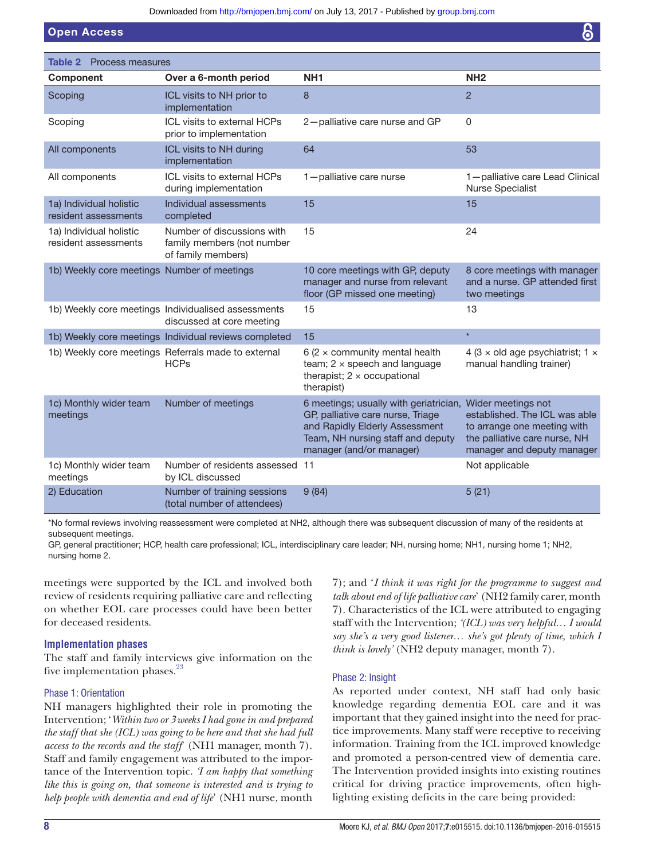Downloaded from<http://bmjopen.bmj.com/>on July 13, 2017 - Published by [group.bmj.com](http://group.bmj.com)

Open Access

<span id="page-7-0"></span>

| Table 2<br>Process measures                     |                                                                                  |                                                                                                                                                                                |                                                                                                                                                   |
|-------------------------------------------------|----------------------------------------------------------------------------------|--------------------------------------------------------------------------------------------------------------------------------------------------------------------------------|---------------------------------------------------------------------------------------------------------------------------------------------------|
| Component                                       | Over a 6-month period                                                            | NH <sub>1</sub>                                                                                                                                                                | NH <sub>2</sub>                                                                                                                                   |
| Scoping                                         | ICL visits to NH prior to<br>implementation                                      | 8                                                                                                                                                                              | $\overline{2}$                                                                                                                                    |
| Scoping                                         | ICL visits to external HCPs<br>prior to implementation                           | 2-palliative care nurse and GP                                                                                                                                                 | 0                                                                                                                                                 |
| All components                                  | ICL visits to NH during<br>implementation                                        | 64                                                                                                                                                                             | 53                                                                                                                                                |
| All components                                  | ICL visits to external HCPs<br>during implementation                             | 1-palliative care nurse                                                                                                                                                        | 1-palliative care Lead Clinical<br><b>Nurse Specialist</b>                                                                                        |
| 1a) Individual holistic<br>resident assessments | Individual assessments<br>completed                                              | 15                                                                                                                                                                             | 15                                                                                                                                                |
| 1a) Individual holistic<br>resident assessments | Number of discussions with<br>family members (not number<br>of family members)   | 15                                                                                                                                                                             | 24                                                                                                                                                |
| 1b) Weekly core meetings Number of meetings     |                                                                                  | 10 core meetings with GP, deputy<br>manager and nurse from relevant<br>floor (GP missed one meeting)                                                                           | 8 core meetings with manager<br>and a nurse. GP attended first<br>two meetings                                                                    |
|                                                 | 1b) Weekly core meetings Individualised assessments<br>discussed at core meeting | 15                                                                                                                                                                             | 13                                                                                                                                                |
|                                                 | 1b) Weekly core meetings Individual reviews completed                            | 15                                                                                                                                                                             | $\star$                                                                                                                                           |
|                                                 | 1b) Weekly core meetings Referrals made to external<br><b>HCPs</b>               | 6 (2 $\times$ community mental health<br>team; $2 \times$ speech and language<br>therapist; $2 \times$ occupational<br>therapist)                                              | 4 (3 $\times$ old age psychiatrist; 1 $\times$<br>manual handling trainer)                                                                        |
| 1c) Monthly wider team<br>meetings              | Number of meetings                                                               | 6 meetings; usually with geriatrician,<br>GP, palliative care nurse, Triage<br>and Rapidly Elderly Assessment<br>Team, NH nursing staff and deputy<br>manager (and/or manager) | Wider meetings not<br>established. The ICL was able<br>to arrange one meeting with<br>the palliative care nurse, NH<br>manager and deputy manager |
| 1c) Monthly wider team<br>meetings              | Number of residents assessed 11<br>by ICL discussed                              |                                                                                                                                                                                | Not applicable                                                                                                                                    |
| 2) Education                                    | Number of training sessions<br>(total number of attendees)                       | 9(84)                                                                                                                                                                          | 5(21)                                                                                                                                             |

\*No formal reviews involving reassessment were completed at NH2, although there was subsequent discussion of many of the residents at subsequent meetings.

GP, general practitioner; HCP, health care professional; ICL, interdisciplinary care leader; NH, nursing home; NH1, nursing home 1; NH2, nursing home 2.

meetings were supported by the ICL and involved both review of residents requiring palliative care and reflecting on whether EOL care processes could have been better for deceased residents.

#### **Implementation phases**

The staff and family interviews give information on the five implementation phases.<sup>[23](#page-13-22)</sup>

#### Phase 1: Orientation

NH managers highlighted their role in promoting the Intervention; '*Within two or 3weeks I had gone in and prepared the staff that she (ICL) was going to be here and that she had full access to the records and the staff*' (NH1 manager, month 7). Staff and family engagement was attributed to the importance of the Intervention topic. *'I am happy that something like this is going on, that someone is interested and is trying to help people with dementia and end of life*' (NH1 nurse, month

7); and '*I think it was right for the programme to suggest and talk about end of life palliative care*' (NH2 family carer, month 7). Characteristics of the ICL were attributed to engaging staff with the Intervention; *'(ICL) was very helpful… I would say she's a very good listener… she's got plenty of time, which I think is lovely'* (NH2 deputy manager, month 7).

#### Phase 2: Insight

As reported under context, NH staff had only basic knowledge regarding dementia EOL care and it was important that they gained insight into the need for practice improvements. Many staff were receptive to receiving information. Training from the ICL improved knowledge and promoted a person-centred view of dementia care. The Intervention provided insights into existing routines critical for driving practice improvements, often highlighting existing deficits in the care being provided: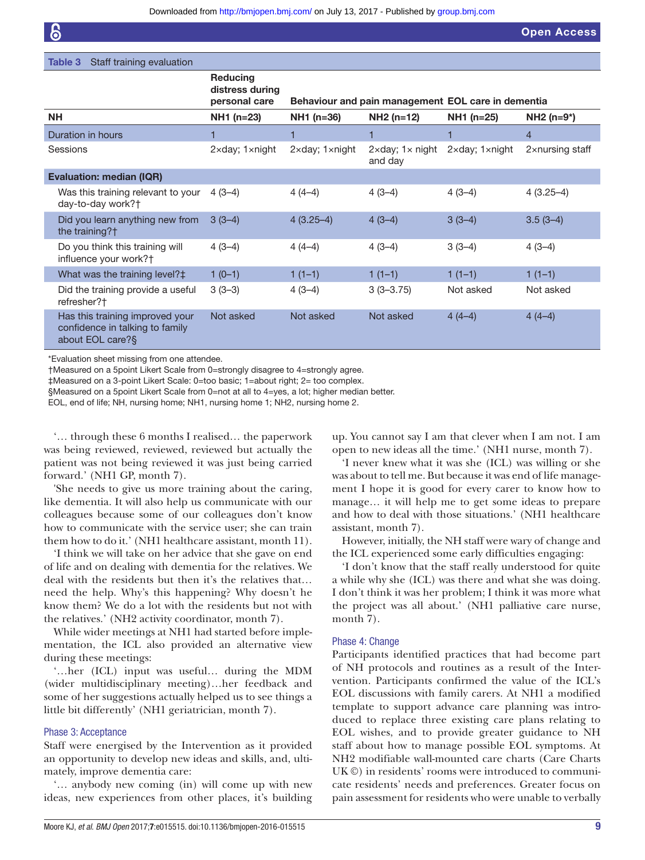Open Access

#### <span id="page-8-0"></span>Table 3 Staff training evaluation

|                                                                                        | <b>Reducing</b><br>distress during<br>personal care |                                   | Behaviour and pain management EOL care in dementia |                                   |                 |
|----------------------------------------------------------------------------------------|-----------------------------------------------------|-----------------------------------|----------------------------------------------------|-----------------------------------|-----------------|
| <b>NH</b>                                                                              | $NH1$ (n=23)                                        | NH1 (n=36)                        | $NH2(n=12)$                                        | NH1 (n=25)                        | $NH2 (n=9*)$    |
| Duration in hours                                                                      | 1                                                   | 1                                 |                                                    | 1                                 | 4               |
| Sessions                                                                               | $2 \times day$ ; $1 \times night$                   | $2 \times day$ ; $1 \times night$ | $2 \times day$ ; $1 \times night$<br>and day       | $2 \times day$ ; $1 \times night$ | 2xnursing staff |
| <b>Evaluation: median (IQR)</b>                                                        |                                                     |                                   |                                                    |                                   |                 |
| Was this training relevant to your<br>day-to-day work?†                                | $4(3-4)$                                            | $4(4-4)$                          | $4(3-4)$                                           | $4(3-4)$                          | $4(3.25-4)$     |
| Did you learn anything new from<br>the training?†                                      | $3(3-4)$                                            | $4(3.25-4)$                       | $4(3-4)$                                           | $3(3-4)$                          | $3.5(3-4)$      |
| Do you think this training will<br>influence your work?†                               | $4(3-4)$                                            | $4(4-4)$                          | $4(3-4)$                                           | $3(3-4)$                          | $4(3-4)$        |
| What was the training level?‡                                                          | $1(0-1)$                                            | $1(1-1)$                          | $1(1-1)$                                           | $1(1-1)$                          | $1(1-1)$        |
| Did the training provide a useful<br>refresher?†                                       | $3(3-3)$                                            | $4(3-4)$                          | $3(3-3.75)$                                        | Not asked                         | Not asked       |
| Has this training improved your<br>confidence in talking to family<br>about EOL care?§ | Not asked                                           | Not asked                         | Not asked                                          | $4(4-4)$                          | $4(4-4)$        |

\*Evaluation sheet missing from one attendee.

†Measured on a 5point Likert Scale from 0=strongly disagree to 4=strongly agree.

‡Measured on a 3-point Likert Scale: 0=too basic; 1=about right; 2= too complex.

§Measured on a 5point Likert Scale from 0=not at all to 4=yes, a lot; higher median better.

EOL, end of life; NH, nursing home; NH1, nursing home 1; NH2, nursing home 2.

'… through these 6 months I realised… the paperwork was being reviewed, reviewed, reviewed but actually the patient was not being reviewed it was just being carried forward.' (NH1 GP, month 7).

'She needs to give us more training about the caring, like dementia. It will also help us communicate with our colleagues because some of our colleagues don't know how to communicate with the service user; she can train them how to do it.' (NH1 healthcare assistant, month 11).

'I think we will take on her advice that she gave on end of life and on dealing with dementia for the relatives. We deal with the residents but then it's the relatives that… need the help. Why's this happening? Why doesn't he know them? We do a lot with the residents but not with the relatives.' (NH2 activity coordinator, month 7).

While wider meetings at NH1 had started before implementation, the ICL also provided an alternative view during these meetings:

'…her (ICL) input was useful… during the MDM (wider multidisciplinary meeting)…her feedback and some of her suggestions actually helped us to see things a little bit differently' (NH1 geriatrician, month 7).

#### Phase 3: Acceptance

Staff were energised by the Intervention as it provided an opportunity to develop new ideas and skills, and, ultimately, improve dementia care:

'… anybody new coming (in) will come up with new ideas, new experiences from other places, it's building

up. You cannot say I am that clever when I am not. I am open to new ideas all the time.' (NH1 nurse, month 7).

'I never knew what it was she (ICL) was willing or she was about to tell me. But because it was end of life management I hope it is good for every carer to know how to manage… it will help me to get some ideas to prepare and how to deal with those situations.' (NH1 healthcare assistant, month 7).

However, initially, the NH staff were wary of change and the ICL experienced some early difficulties engaging:

'I don't know that the staff really understood for quite a while why she (ICL) was there and what she was doing. I don't think it was her problem; I think it was more what the project was all about.' (NH1 palliative care nurse, month 7).

#### Phase 4: Change

Participants identified practices that had become part of NH protocols and routines as a result of the Intervention. Participants confirmed the value of the ICL's EOL discussions with family carers. At NH1 a modified template to support advance care planning was introduced to replace three existing care plans relating to EOL wishes, and to provide greater guidance to NH staff about how to manage possible EOL symptoms. At NH2 modifiable wall-mounted care charts (Care Charts UK ©) in residents' rooms were introduced to communicate residents' needs and preferences. Greater focus on pain assessment for residents who were unable to verbally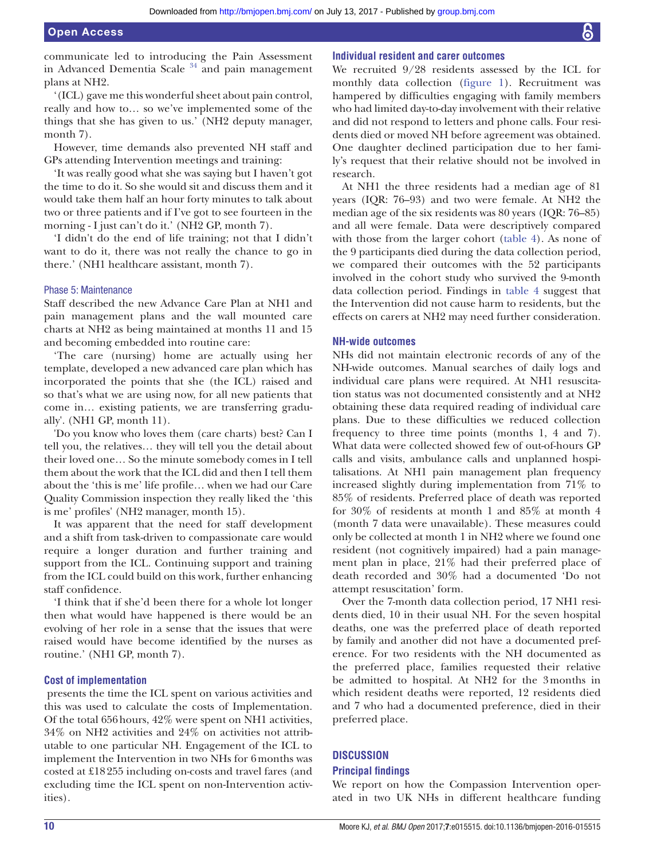communicate led to introducing the Pain Assessment in Advanced Dementia Scale  $34$  and pain management plans at NH2.

'(ICL) gave me this wonderful sheet about pain control, really and how to… so we've implemented some of the things that she has given to us.' (NH2 deputy manager, month 7).

However, time demands also prevented NH staff and GPs attending Intervention meetings and training:

'It was really good what she was saying but I haven't got the time to do it. So she would sit and discuss them and it would take them half an hour forty minutes to talk about two or three patients and if I've got to see fourteen in the morning - I just can't do it.' (NH2 GP, month 7).

'I didn't do the end of life training; not that I didn't want to do it, there was not really the chance to go in there.' (NH1 healthcare assistant, month 7).

#### Phase 5: Maintenance

Staff described the new Advance Care Plan at NH1 and pain management plans and the wall mounted care charts at NH2 as being maintained at months 11 and 15 and becoming embedded into routine care:

'The care (nursing) home are actually using her template, developed a new advanced care plan which has incorporated the points that she (the ICL) raised and so that's what we are using now, for all new patients that come in… existing patients, we are transferring gradually'. (NH1 GP, month 11).

'Do you know who loves them (care charts) best? Can I tell you, the relatives… they will tell you the detail about their loved one… So the minute somebody comes in I tell them about the work that the ICL did and then I tell them about the 'this is me' life profile… when we had our Care Quality Commission inspection they really liked the 'this is me' profiles' (NH2 manager, month 15).

It was apparent that the need for staff development and a shift from task-driven to compassionate care would require a longer duration and further training and support from the ICL. Continuing support and training from the ICL could build on this work, further enhancing staff confidence.

'I think that if she'd been there for a whole lot longer then what would have happened is there would be an evolving of her role in a sense that the issues that were raised would have become identified by the nurses as routine.' (NH1 GP, month 7).

#### **Cost of implementation**

 presents the time the ICL spent on various activities and this was used to calculate the costs of Implementation. Of the total 656hours, 42% were spent on NH1 activities, 34% on NH2 activities and 24% on activities not attributable to one particular NH. Engagement of the ICL to implement the Intervention in two NHs for 6months was costed at £18255 including on-costs and travel fares (and excluding time the ICL spent on non-Intervention activities).

#### **Individual resident and carer outcomes**

We recruited 9/28 residents assessed by the ICL for monthly data collection [\(figure](#page-6-0) 1). Recruitment was hampered by difficulties engaging with family members who had limited day-to-day involvement with their relative and did not respond to letters and phone calls. Four residents died or moved NH before agreement was obtained. One daughter declined participation due to her family's request that their relative should not be involved in research.

At NH1 the three residents had a median age of 81 years (IQR: 76–93) and two were female. At NH2 the median age of the six residents was 80 years (IQR: 76–85) and all were female. Data were descriptively compared with those from the larger cohort [\(table](#page-10-0) 4). As none of the 9 participants died during the data collection period, we compared their outcomes with the 52 participants involved in the cohort study who survived the 9-month data collection period. Findings in [table](#page-10-0) 4 suggest that the Intervention did not cause harm to residents, but the effects on carers at NH2 may need further consideration.

#### **NH-wide outcomes**

NHs did not maintain electronic records of any of the NH-wide outcomes. Manual searches of daily logs and individual care plans were required. At NH1 resuscitation status was not documented consistently and at NH2 obtaining these data required reading of individual care plans. Due to these difficulties we reduced collection frequency to three time points (months 1, 4 and 7). What data were collected showed few of out-of-hours GP calls and visits, ambulance calls and unplanned hospitalisations. At NH1 pain management plan frequency increased slightly during implementation from 71% to 85% of residents. Preferred place of death was reported for 30% of residents at month 1 and 85% at month 4 (month 7 data were unavailable). These measures could only be collected at month 1 in NH2 where we found one resident (not cognitively impaired) had a pain management plan in place, 21% had their preferred place of death recorded and 30% had a documented 'Do not attempt resuscitation' form.

Over the 7-month data collection period, 17 NH1 residents died, 10 in their usual NH. For the seven hospital deaths, one was the preferred place of death reported by family and another did not have a documented preference. For two residents with the NH documented as the preferred place, families requested their relative be admitted to hospital. At NH2 for the 3months in which resident deaths were reported, 12 residents died and 7 who had a documented preference, died in their preferred place.

#### **Discussion**

#### **Principal findings**

We report on how the Compassion Intervention operated in two UK NHs in different healthcare funding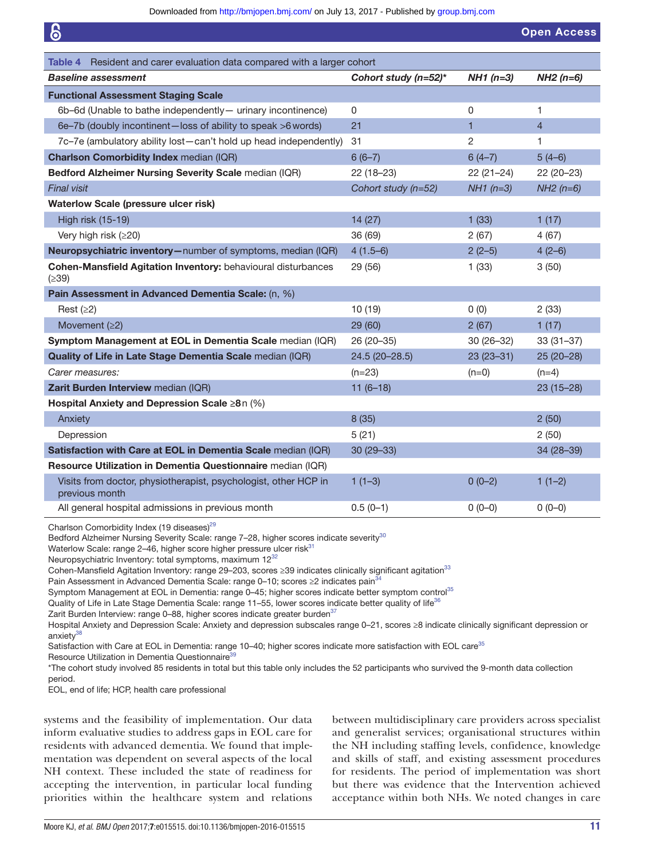<span id="page-10-0"></span>

| 6                                                                                                          |                      |                | <b>Open Access</b> |
|------------------------------------------------------------------------------------------------------------|----------------------|----------------|--------------------|
| Resident and carer evaluation data compared with a larger cohort<br>Table 4                                |                      |                |                    |
| <b>Baseline assessment</b>                                                                                 | Cohort study (n=52)* | $NH1(n=3)$     | $NH2(n=6)$         |
|                                                                                                            |                      |                |                    |
| <b>Functional Assessment Staging Scale</b><br>6b-6d (Unable to bathe independently - urinary incontinence) | 0                    | 0              | 1                  |
| 6e-7b (doubly incontinent-loss of ability to speak >6 words)                                               | 21                   | $\mathbf{1}$   | $\overline{4}$     |
| 7c-7e (ambulatory ability lost-can't hold up head independently)                                           | 31                   | $\overline{2}$ | 1                  |
| <b>Charlson Comorbidity Index median (IQR)</b>                                                             | $6(6-7)$             | $6(4-7)$       | $5(4-6)$           |
|                                                                                                            |                      |                |                    |
| Bedford Alzheimer Nursing Severity Scale median (IQR)                                                      | $22(18-23)$          | $22(21-24)$    | 22 (20-23)         |
| <b>Final visit</b>                                                                                         | Cohort study (n=52)  | $NH1(n=3)$     | $NH2(n=6)$         |
| <b>Waterlow Scale (pressure ulcer risk)</b>                                                                |                      |                |                    |
| High risk (15-19)                                                                                          | 14 (27)              | 1(33)          | 1(17)              |
| Very high risk (≥20)                                                                                       | 36 (69)              | 2(67)          | 4(67)              |
| Neuropsychiatric inventory-number of symptoms, median (IQR)                                                | $4(1.5-6)$           | $2(2-5)$       | $4(2-6)$           |
| Cohen-Mansfield Agitation Inventory: behavioural disturbances<br>(≥39)                                     | 29 (56)              | 1(33)          | 3(50)              |
| Pain Assessment in Advanced Dementia Scale: (n, %)                                                         |                      |                |                    |
| Rest $(≥2)$                                                                                                | 10(19)               | 0(0)           | 2(33)              |
| Movement $(22)$                                                                                            | 29 (60)              | 2(67)          | 1(17)              |
| Symptom Management at EOL in Dementia Scale median (IQR)                                                   | 26 (20 - 35)         | $30(26-32)$    | $33(31-37)$        |
| Quality of Life in Late Stage Dementia Scale median (IQR)                                                  | 24.5 (20-28.5)       | $23(23-31)$    | 25 (20-28)         |
| Carer measures:                                                                                            | $(n=23)$             | $(n=0)$        | $(n=4)$            |
| Zarit Burden Interview median (IQR)                                                                        | $11(6-18)$           |                | $23(15-28)$        |
| Hospital Anxiety and Depression Scale ≥8n (%)                                                              |                      |                |                    |
| Anxiety                                                                                                    | 8(35)                |                | 2(50)              |
| Depression                                                                                                 | 5(21)                |                | 2(50)              |
| Satisfaction with Care at EOL in Dementia Scale median (IQR)                                               | $30(29 - 33)$        |                | 34 (28-39)         |
| Resource Utilization in Dementia Questionnaire median (IQR)                                                |                      |                |                    |
| Visits from doctor, physiotherapist, psychologist, other HCP in<br>previous month                          | $1(1-3)$             | $0(0-2)$       | $1(1-2)$           |
| All general hospital admissions in previous month                                                          | $0.5(0-1)$           | $0(0-0)$       | $0(0-0)$           |
|                                                                                                            |                      |                |                    |

Charlson Comorbidity Index (19 diseases)<sup>[29](#page-13-25)</sup>

Bedford Alzheimer Nursing Severity Scale: range 7-28, higher scores indicate severity<sup>[30](#page-13-26)</sup>

Waterlow Scale: range 2-46, higher score higher pressure ulcer risk<sup>[31](#page-13-27)</sup>

Neuropsychiatric Inventory: total symptoms, maximum 12<sup>[32](#page-13-28)</sup>

Cohen-Mansfield Agitation Inventory: range 29–203, scores ≥39 indicates clinically significant agitation<sup>[33](#page-13-29)</sup>

Pain Assessment in Advanced Dementia Scale: range 0–10; scores ≥2 indicates pain<sup>[34](#page-13-30)</sup>

Symptom Management at EOL in Dementia: range 0-45; higher scores indicate better symptom control<sup>[35](#page-13-31)</sup>

Quality of Life in Late Stage Dementia Scale: range 11-55, lower scores indicate better quality of life<sup>[36](#page-13-32)</sup>

Zarit Burden Interview: range 0–88, higher scores indicate greater burden<sup>[37](#page-13-33)</sup>

Hospital Anxiety and Depression Scale: Anxiety and depression subscales range 0–21, scores ≥8 indicate clinically significant depression or anxiety<sup>38</sup>

Satisfaction with Care at EOL in Dementia: range 10–40; higher scores indicate more satisfaction with EOL care<sup>[35](#page-13-31)</sup>

Resource Utilization in Dementia Questionnaire<sup>3</sup>

\*The cohort study involved 85 residents in total but this table only includes the 52 participants who survived the 9-month data collection period.

EOL, end of life; HCP, health care professional

systems and the feasibility of implementation. Our data inform evaluative studies to address gaps in EOL care for residents with advanced dementia. We found that implementation was dependent on several aspects of the local NH context. These included the state of readiness for accepting the intervention, in particular local funding priorities within the healthcare system and relations between multidisciplinary care providers across specialist and generalist services; organisational structures within the NH including staffing levels, confidence, knowledge and skills of staff, and existing assessment procedures for residents. The period of implementation was short but there was evidence that the Intervention achieved acceptance within both NHs. We noted changes in care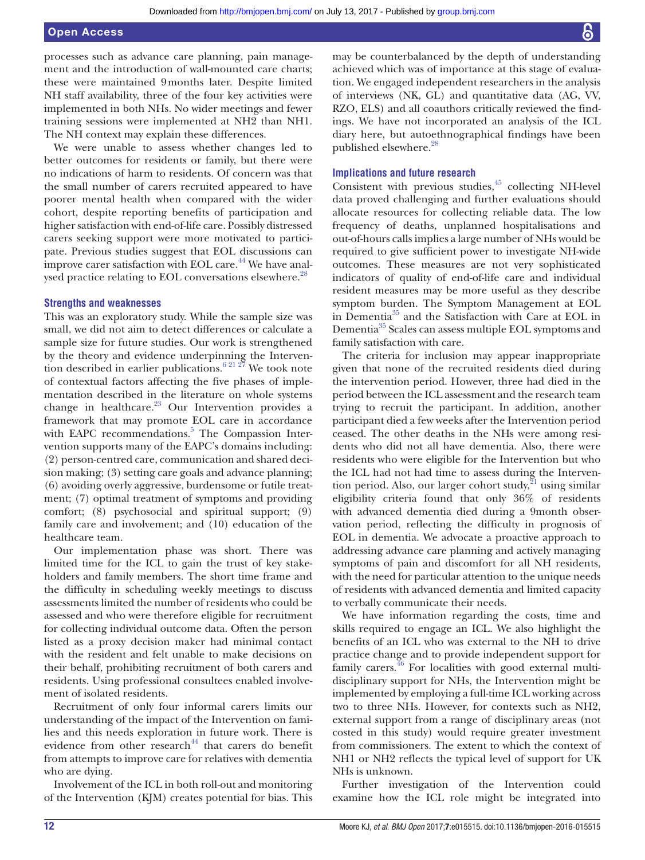processes such as advance care planning, pain management and the introduction of wall-mounted care charts; these were maintained 9months later. Despite limited NH staff availability, three of the four key activities were implemented in both NHs. No wider meetings and fewer training sessions were implemented at NH2 than NH1. The NH context may explain these differences.

We were unable to assess whether changes led to better outcomes for residents or family, but there were no indications of harm to residents. Of concern was that the small number of carers recruited appeared to have poorer mental health when compared with the wider cohort, despite reporting benefits of participation and higher satisfaction with end-of-life care. Possibly distressed carers seeking support were more motivated to participate. Previous studies suggest that EOL discussions can improve carer satisfaction with EOL care.<sup>44</sup> We have analysed practice relating to EOL conversations elsewhere.<sup>28</sup>

#### **Strengths and weaknesses**

This was an exploratory study. While the sample size was small, we did not aim to detect differences or calculate a sample size for future studies. Our work is strengthened by the theory and evidence underpinning the Intervention described in earlier publications.<sup>6 21</sup> 27<sup>7</sup> We took note of contextual factors affecting the five phases of implementation described in the literature on whole systems change in healthcare.<sup>[23](#page-13-22)</sup> Our Intervention provides a framework that may promote EOL care in accordance with EAPC recommendations.<sup>[5](#page-13-2)</sup> The Compassion Intervention supports many of the EAPC's domains including: (2) person-centred care, communication and shared decision making; (3) setting care goals and advance planning; (6) avoiding overly aggressive, burdensome or futile treatment; (7) optimal treatment of symptoms and providing comfort; (8) psychosocial and spiritual support; (9) family care and involvement; and (10) education of the healthcare team.

Our implementation phase was short. There was limited time for the ICL to gain the trust of key stakeholders and family members. The short time frame and the difficulty in scheduling weekly meetings to discuss assessments limited the number of residents who could be assessed and who were therefore eligible for recruitment for collecting individual outcome data. Often the person listed as a proxy decision maker had minimal contact with the resident and felt unable to make decisions on their behalf, prohibiting recruitment of both carers and residents. Using professional consultees enabled involvement of isolated residents.

Recruitment of only four informal carers limits our understanding of the impact of the Intervention on families and this needs exploration in future work. There is evidence from other research $44$  that carers do benefit from attempts to improve care for relatives with dementia who are dying.

Involvement of the ICL in both roll-out and monitoring of the Intervention (KJM) creates potential for bias. This

may be counterbalanced by the depth of understanding achieved which was of importance at this stage of evaluation. We engaged independent researchers in the analysis of interviews (NK, GL) and quantitative data (AG, VV, RZO, ELS) and all coauthors critically reviewed the findings. We have not incorporated an analysis of the ICL diary here, but autoethnographical findings have been published elsewhere. $28$ 

#### **Implications and future research**

Consistent with previous studies, $45$  collecting NH-level data proved challenging and further evaluations should allocate resources for collecting reliable data. The low frequency of deaths, unplanned hospitalisations and out-of-hours calls implies a large number of NHs would be required to give sufficient power to investigate NH-wide outcomes. These measures are not very sophisticated indicators of quality of end-of-life care and individual resident measures may be more useful as they describe symptom burden. The Symptom Management at EOL in Dementi[a35](#page-13-31) and the Satisfaction with Care at EOL in Dementia<sup>35</sup> Scales can assess multiple EOL symptoms and family satisfaction with care.

The criteria for inclusion may appear inappropriate given that none of the recruited residents died during the intervention period. However, three had died in the period between the ICL assessment and the research team trying to recruit the participant. In addition, another participant died a few weeks after the Intervention period ceased. The other deaths in the NHs were among residents who did not all have dementia. Also, there were residents who were eligible for the Intervention but who the ICL had not had time to assess during the Intervention period. Also, our larger cohort study,  $2^1$  using similar eligibility criteria found that only 36% of residents with advanced dementia died during a 9month observation period, reflecting the difficulty in prognosis of EOL in dementia. We advocate a proactive approach to addressing advance care planning and actively managing symptoms of pain and discomfort for all NH residents, with the need for particular attention to the unique needs of residents with advanced dementia and limited capacity to verbally communicate their needs.

We have information regarding the costs, time and skills required to engage an ICL. We also highlight the benefits of an ICL who was external to the NH to drive practice change and to provide independent support for family carers.<sup>46</sup> For localities with good external multidisciplinary support for NHs, the Intervention might be implemented by employing a full-time ICL working across two to three NHs. However, for contexts such as NH2, external support from a range of disciplinary areas (not costed in this study) would require greater investment from commissioners. The extent to which the context of NH1 or NH2 reflects the typical level of support for UK NHs is unknown.

Further investigation of the Intervention could examine how the ICL role might be integrated into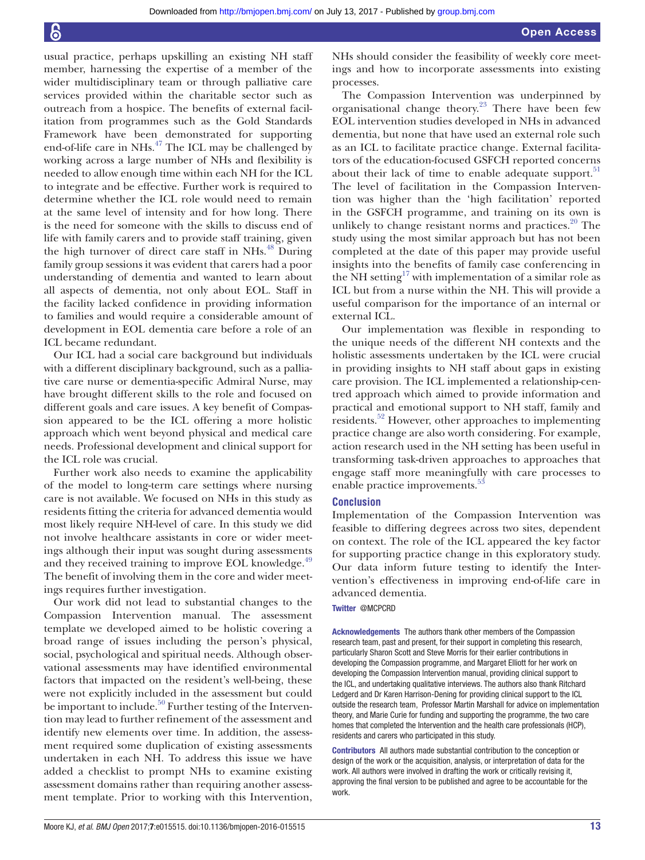usual practice, perhaps upskilling an existing NH staff member, harnessing the expertise of a member of the wider multidisciplinary team or through palliative care services provided within the charitable sector such as outreach from a hospice. The benefits of external facilitation from programmes such as the Gold Standards Framework have been demonstrated for supporting end-of-life care in NHs.<sup>47</sup> The ICL may be challenged by working across a large number of NHs and flexibility is needed to allow enough time within each NH for the ICL to integrate and be effective. Further work is required to determine whether the ICL role would need to remain at the same level of intensity and for how long. There is the need for someone with the skills to discuss end of life with family carers and to provide staff training, given the high turnover of direct care staff in NHs.<sup>[48](#page-14-5)</sup> During family group sessions it was evident that carers had a poor understanding of dementia and wanted to learn about all aspects of dementia, not only about EOL. Staff in the facility lacked confidence in providing information to families and would require a considerable amount of development in EOL dementia care before a role of an ICL became redundant.

Our ICL had a social care background but individuals with a different disciplinary background, such as a palliative care nurse or dementia-specific Admiral Nurse, may have brought different skills to the role and focused on different goals and care issues. A key benefit of Compassion appeared to be the ICL offering a more holistic approach which went beyond physical and medical care needs. Professional development and clinical support for the ICL role was crucial.

Further work also needs to examine the applicability of the model to long-term care settings where nursing care is not available. We focused on NHs in this study as residents fitting the criteria for advanced dementia would most likely require NH-level of care. In this study we did not involve healthcare assistants in core or wider meetings although their input was sought during assessments and they received training to improve EOL knowledge.<sup>49</sup> The benefit of involving them in the core and wider meetings requires further investigation.

Our work did not lead to substantial changes to the Compassion Intervention manual. The assessment template we developed aimed to be holistic covering a broad range of issues including the person's physical, social, psychological and spiritual needs. Although observational assessments may have identified environmental factors that impacted on the resident's well-being, these were not explicitly included in the assessment but could be important to include.<sup>50</sup> Further testing of the Intervention may lead to further refinement of the assessment and identify new elements over time. In addition, the assessment required some duplication of existing assessments undertaken in each NH. To address this issue we have added a checklist to prompt NHs to examine existing assessment domains rather than requiring another assessment template. Prior to working with this Intervention,

NHs should consider the feasibility of weekly core meetings and how to incorporate assessments into existing processes.

The Compassion Intervention was underpinned by organisational change theory.<sup>23</sup> There have been few EOL intervention studies developed in NHs in advanced dementia, but none that have used an external role such as an ICL to facilitate practice change. External facilitators of the education-focused GSFCH reported concerns about their lack of time to enable adequate support. $51$ The level of facilitation in the Compassion Intervention was higher than the 'high facilitation' reported in the GSFCH programme, and training on its own is unlikely to change resistant norms and practices. $20$  The study using the most similar approach but has not been completed at the date of this paper may provide useful insights into the benefits of family case conferencing in the NH setting<sup>[17](#page-13-14)</sup> with implementation of a similar role as ICL but from a nurse within the NH. This will provide a useful comparison for the importance of an internal or external ICL.

Our implementation was flexible in responding to the unique needs of the different NH contexts and the holistic assessments undertaken by the ICL were crucial in providing insights to NH staff about gaps in existing care provision. The ICL implemented a relationship-centred approach which aimed to provide information and practical and emotional support to NH staff, family and residents.<sup>52</sup> However, other approaches to implementing practice change are also worth considering. For example, action research used in the NH setting has been useful in transforming task-driven approaches to approaches that engage staff more meaningfully with care processes to enable practice improvements.<sup>53</sup>

#### **Conclusion**

Implementation of the Compassion Intervention was feasible to differing degrees across two sites, dependent on context. The role of the ICL appeared the key factor for supporting practice change in this exploratory study. Our data inform future testing to identify the Intervention's effectiveness in improving end-of-life care in advanced dementia.

#### Twitter @MCPCRD

Acknowledgements The authors thank other members of the Compassion research team, past and present, for their support in completing this research, particularly Sharon Scott and Steve Morris for their earlier contributions in developing the Compassion programme, and Margaret Elliott for her work on developing the Compassion Intervention manual, providing clinical support to the ICL, and undertaking qualitative interviews. The authors also thank Ritchard Ledgerd and Dr Karen Harrison-Dening for providing clinical support to the ICL outside the research team, Professor Martin Marshall for advice on implementation theory, and Marie Curie for funding and supporting the programme, the two care homes that completed the Intervention and the health care professionals (HCP), residents and carers who participated in this study.

Contributors All authors made substantial contribution to the conception or design of the work or the acquisition, analysis, or interpretation of data for the work. All authors were involved in drafting the work or critically revising it, approving the final version to be published and agree to be accountable for the work.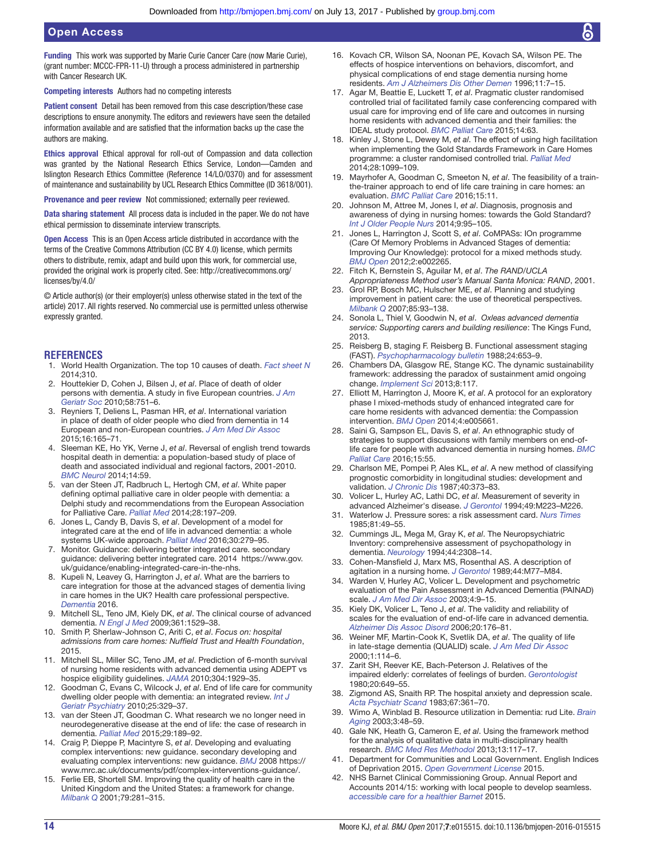#### Open Access

Funding This work was supported by Marie Curie Cancer Care (now Marie Curie), (grant number: MCCC-FPR-11-U) through a process administered in partnership with Cancer Research UK.

Competing interests Authors had no competing interests

Patient consent Detail has been removed from this case description/these case descriptions to ensure anonymity. The editors and reviewers have seen the detailed information available and are satisfied that the information backs up the case the authors are making.

Ethics approval Ethical approval for roll-out of Compassion and data collection was granted by the National Research Ethics Service, London—Camden and Islington Research Ethics Committee (Reference 14/LO/0370) and for assessment of maintenance and sustainability by UCL Research Ethics Committee (ID 3618/001).

Provenance and peer review Not commissioned; externally peer reviewed.

Data sharing statement All process data is included in the paper. We do not have ethical permission to disseminate interview transcripts.

Open Access This is an Open Access article distributed in accordance with the terms of the Creative Commons Attribution (CC BY 4.0) license, which permits others to distribute, remix, adapt and build upon this work, for commercial use, provided the original work is properly cited. See: [http://creativecommons.org/](http://creativecommons.org/licenses/by/4.0/) [licenses/by/4.0/](http://creativecommons.org/licenses/by/4.0/)

© Article author(s) (or their employer(s) unless otherwise stated in the text of the article) 2017. All rights reserved. No commercial use is permitted unless otherwise expressly granted.

#### **References**

- <span id="page-13-0"></span>1. World Health Organization. The top 10 causes of death. *Fact sheet N* 2014;310.
- <span id="page-13-1"></span>2. Houttekier D, Cohen J, Bilsen J, *et al*. Place of death of older persons with dementia. A study in five European countries. *[J Am](http://dx.doi.org/10.1111/j.1532-5415.2010.02771.x)  [Geriatr Soc](http://dx.doi.org/10.1111/j.1532-5415.2010.02771.x)* 2010;58:751–6.
- 3. Reyniers T, Deliens L, Pasman HR, *et al*. International variation in place of death of older people who died from dementia in 14 European and non-European countries. *[J Am Med Dir Assoc](http://dx.doi.org/10.1016/j.jamda.2014.11.003)* 2015;16:165–71.
- 4. Sleeman KE, Ho YK, Verne J, *et al*. Reversal of english trend towards hospital death in dementia: a population-based study of place of death and associated individual and regional factors, 2001-2010. *[BMC Neurol](http://dx.doi.org/10.1186/1471-2377-14-59)* 2014;14:59.
- <span id="page-13-2"></span>5. van der Steen JT, Radbruch L, Hertogh CM, *et al*. White paper defining optimal palliative care in older people with dementia: a Delphi study and recommendations from the European Association for Palliative Care. *[Palliat Med](http://dx.doi.org/10.1177/0269216313493685)* 2014;28:197–209.
- <span id="page-13-3"></span>6. Jones L, Candy B, Davis S, *et al*. Development of a model for integrated care at the end of life in advanced dementia: a whole systems UK-wide approach. *[Palliat Med](http://dx.doi.org/10.1177/0269216315605447)* 2016;30:279–95.
- <span id="page-13-4"></span>7. Monitor. Guidance: delivering better integrated care. secondary guidance: delivering better integrated care. 2014  [https://www.gov.](https://www.gov.uk/guidance/enabling-integrated-care-in-the-nhs) [uk/guidance/enabling-integrated-care-in-the-nhs](https://www.gov.uk/guidance/enabling-integrated-care-in-the-nhs).
- <span id="page-13-5"></span>8. Kupeli N, Leavey G, Harrington J, *et al*. What are the barriers to care integration for those at the advanced stages of dementia living in care homes in the UK? Health care professional perspective. *[Dementia](http://dx.doi.org/10.1177/1471301216636302)* 2016.
- <span id="page-13-6"></span>9. Mitchell SL, Teno JM, Kiely DK, *et al*. The clinical course of advanced dementia. *[N Engl J Med](http://dx.doi.org/10.1056/NEJMoa0902234)* 2009;361:1529–38.
- <span id="page-13-7"></span>10. Smith P, Sherlaw-Johnson C, Ariti C, *et al*. *Focus on: hospital admissions from care homes: Nuffield Trust and Health Foundation*, 2015.
- <span id="page-13-8"></span>11. Mitchell SL, Miller SC, Teno JM, *et al*. Prediction of 6-month survival of nursing home residents with advanced dementia using ADEPT vs hospice eligibility guidelines. *[JAMA](http://dx.doi.org/10.1001/jama.2010.1572)* 2010;304:1929–35.
- <span id="page-13-9"></span>12. Goodman C, Evans C, Wilcock J, *et al*. End of life care for community dwelling older people with dementia: an integrated review. *[Int J](http://dx.doi.org/10.1002/gps.2343)  [Geriatr Psychiatry](http://dx.doi.org/10.1002/gps.2343)* 2010;25:329–37.
- <span id="page-13-10"></span>13. van der Steen JT, Goodman C. What research we no longer need in neurodegenerative disease at the end of life: the case of research in dementia. *[Palliat Med](http://dx.doi.org/10.1177/0269216315569998)* 2015;29:189–92.
- <span id="page-13-11"></span>14. Craig P, Dieppe P, Macintyre S, *et al*. Developing and evaluating complex interventions: new guidance. secondary developing and evaluating complex interventions: new guidance. *BMJ* 2008 [https://](https://www.mrc.ac.uk/documents/pdf/complex-interventions-guidance/) [www.mrc.ac.uk/documents/pdf/complex-interventions-guidance/.](https://www.mrc.ac.uk/documents/pdf/complex-interventions-guidance/)
- <span id="page-13-12"></span>15. Ferlie EB, Shortell SM. Improving the quality of health care in the United Kingdom and the United States: a framework for change. *[Milbank Q](http://dx.doi.org/10.1111/1468-0009.00206)* 2001;79:281–315.
- <span id="page-13-13"></span>16. Kovach CR, Wilson SA, Noonan PE, Kovach SA, Wilson PE. The effects of hospice interventions on behaviors, discomfort, and physical complications of end stage dementia nursing home residents. *[Am J Alzheimers Dis Other Demen](http://dx.doi.org/10.1177/153331759601100402)* 1996;11:7–15.
- <span id="page-13-14"></span>17. Agar M, Beattie E, Luckett T, *et al*. Pragmatic cluster randomised controlled trial of facilitated family case conferencing compared with usual care for improving end of life care and outcomes in nursing home residents with advanced dementia and their families: the IDEAL study protocol. *[BMC Palliat Care](http://dx.doi.org/10.1186/s12904-015-0061-8)* 2015;14:63.
- <span id="page-13-15"></span>18. Kinley J, Stone L, Dewey M, *et al*. The effect of using high facilitation when implementing the Gold Standards Framework in Care Homes programme: a cluster randomised controlled trial. *[Palliat Med](http://dx.doi.org/10.1177/0269216314539785)* 2014;28:1099–109.
- 19. Mayrhofer A, Goodman C, Smeeton N, *et al*. The feasibility of a trainthe-trainer approach to end of life care training in care homes: an evaluation. *[BMC Palliat Care](http://dx.doi.org/10.1186/s12904-016-0081-z)* 2016;15:11.
- <span id="page-13-16"></span>20. Johnson M, Attree M, Jones I, *et al*. Diagnosis, prognosis and awareness of dying in nursing homes: towards the Gold Standard? *[Int J Older People Nurs](http://dx.doi.org/10.1111/opn.12024)* 2014;9:95–105.
- <span id="page-13-17"></span>21. Jones L, Harrington J, Scott S, *et al*. CoMPASs: IOn programme (Care Of Memory Problems in Advanced Stages of dementia: Improving Our Knowledge): protocol for a mixed methods study. *[BMJ Open](http://dx.doi.org/10.1136/bmjopen-2012-002265)* 2012;2:e002265.
- <span id="page-13-18"></span>22. Fitch K, Bernstein S, Aguilar M, *et al*. *The RAND/UCLA Appropriateness Method user's Manual Santa Monica: RAND*, 2001.
- <span id="page-13-22"></span>23. Grol RP, Bosch MC, Hulscher ME, *et al*. Planning and studying improvement in patient care: the use of theoretical perspectives. *[Milbank Q](http://dx.doi.org/10.1111/j.1468-0009.2007.00478.x)* 2007;85:93–138.
- <span id="page-13-19"></span>24. Sonola L, Thiel V, Goodwin N, *et al*.  *Oxleas advanced dementia service: Supporting carers and building resilience*: The Kings Fund, 2013.
- <span id="page-13-20"></span>25. Reisberg B, staging F. Reisberg B. Functional assessment staging (FAST). *Psychopharmacology bulletin* 1988;24:653–9.
- <span id="page-13-21"></span>26. Chambers DA, Glasgow RE, Stange KC. The dynamic sustainability framework: addressing the paradox of sustainment amid ongoing change. *[Implement Sci](http://dx.doi.org/10.1186/1748-5908-8-117)* 2013;8:117.
- <span id="page-13-23"></span>27. Elliott M, Harrington J, Moore K, *et al*. A protocol for an exploratory phase I mixed-methods study of enhanced integrated care for care home residents with advanced dementia: the Compassion intervention. *[BMJ Open](http://dx.doi.org/10.1136/bmjopen-2014-005661)* 2014;4:e005661.
- <span id="page-13-24"></span>28. Saini G, Sampson EL, Davis S, *et al*. An ethnographic study of strategies to support discussions with family members on end-oflife care for people with advanced dementia in nursing homes. *[BMC](http://dx.doi.org/10.1186/s12904-016-0127-2)  [Palliat Care](http://dx.doi.org/10.1186/s12904-016-0127-2)* 2016;15:55.
- <span id="page-13-25"></span>29. Charlson ME, Pompei P, Ales KL, *et al*. A new method of classifying prognostic comorbidity in longitudinal studies: development and validation. *[J Chronic Dis](http://dx.doi.org/10.1016/0021-9681(87)90171-8)* 1987;40:373–83.
- <span id="page-13-26"></span>30. Volicer L, Hurley AC, Lathi DC, *et al*. Measurement of severity in advanced Alzheimer's disease. *[J Gerontol](http://dx.doi.org/10.1093/geronj/49.5.M223)* 1994;49:M223–M226.
- <span id="page-13-27"></span>31. Waterlow J. Pressure sores: a risk assessment card. *Nurs Times* 1985;81:49–55.
- <span id="page-13-28"></span>32. Cummings JL, Mega M, Gray K, *et al*. The Neuropsychiatric Inventory: comprehensive assessment of psychopathology in dementia. *[Neurology](http://dx.doi.org/10.1212/WNL.44.12.2308)* 1994;44:2308–14.
- <span id="page-13-29"></span>33. Cohen-Mansfield J, Marx MS, Rosenthal AS. A description of agitation in a nursing home. *[J Gerontol](http://dx.doi.org/10.1093/geronj/44.3.M77)* 1989;44:M77–M84.
- <span id="page-13-30"></span>34. Warden V, Hurley AC, Volicer L. Development and psychometric evaluation of the Pain Assessment in Advanced Dementia (PAINAD) scale. *[J Am Med Dir Assoc](http://dx.doi.org/10.1097/01.JAM.0000043422.31640.F7)* 2003;4:9–15.
- <span id="page-13-31"></span>35. Kiely DK, Volicer L, Teno J, *et al*. The validity and reliability of scales for the evaluation of end-of-life care in advanced dementia. *[Alzheimer Dis Assoc Disord](http://dx.doi.org/10.1097/00002093-200607000-00009)* 2006;20:176–81.
- <span id="page-13-32"></span>36. Weiner MF, Martin-Cook K, Svetlik DA, *et al*. The quality of life in late-stage dementia (QUALID) scale. *J Am Med Dir Assoc* 2000;1:114–6.
- <span id="page-13-33"></span>37. Zarit SH, Reever KE, Bach-Peterson J. Relatives of the impaired elderly: correlates of feelings of burden. *[Gerontologist](http://dx.doi.org/10.1093/geront/20.6.649)* 1980;20:649–55.
- <span id="page-13-34"></span>38. Zigmond AS, Snaith RP. The hospital anxiety and depression scale. *[Acta Psychiatr Scand](http://dx.doi.org/10.1111/j.1600-0447.1983.tb09716.x)* 1983;67:361–70.
- <span id="page-13-35"></span>39. Wimo A, Winblad B. Resource utilization in Dementia: rud Lite. *Brain Aging* 2003;3:48–59.
- <span id="page-13-36"></span>40. Gale NK, Heath G, Cameron E, *et al*. Using the framework method for the analysis of qualitative data in multi-disciplinary health research. *[BMC Med Res Methodol](http://dx.doi.org/10.1186/1471-2288-13-117)* 2013;13:117–17.
- <span id="page-13-37"></span>41. Department for Communities and Local Government. English Indices of Deprivation 2015. *Open Government License* 2015.
- <span id="page-13-38"></span>42. NHS Barnet Clinical Commissioning Group. Annual Report and Accounts 2014/15: working with local people to develop seamless. *accessible care for a healthier Barnet* 2015.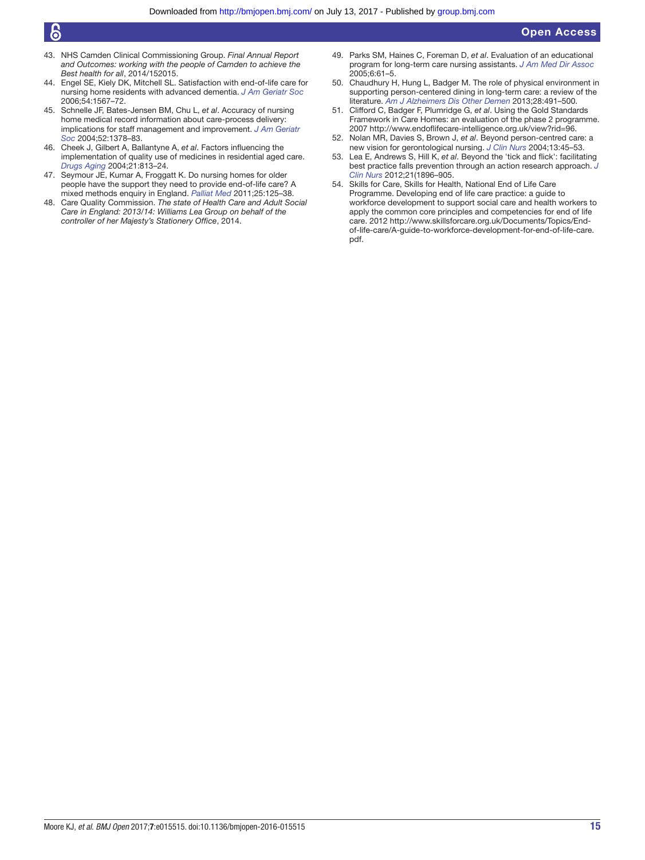## န

- 43. NHS Camden Clinical Commissioning Group. *Final Annual Report and Outcomes: working with the people of Camden to achieve the Best health for all*, 2014/152015.
- <span id="page-14-1"></span>44. Engel SE, Kiely DK, Mitchell SL. Satisfaction with end-of-life care for nursing home residents with advanced dementia. *[J Am Geriatr Soc](http://dx.doi.org/10.1111/j.1532-5415.2006.00900.x)* 2006;54:1567–72.
- <span id="page-14-2"></span>45. Schnelle JF, Bates-Jensen BM, Chu L, *et al*. Accuracy of nursing home medical record information about care-process delivery: implications for staff management and improvement. *[J Am Geriatr](http://dx.doi.org/10.1111/j.1532-5415.2004.52372.x)  [Soc](http://dx.doi.org/10.1111/j.1532-5415.2004.52372.x)* 2004;52:1378–83.
- <span id="page-14-3"></span>46. Cheek J, Gilbert A, Ballantyne A, *et al*. Factors influencing the implementation of quality use of medicines in residential aged care. *[Drugs Aging](http://dx.doi.org/10.2165/00002512-200421120-00005)* 2004;21:813–24.
- <span id="page-14-4"></span>47. Seymour JE, Kumar A, Froggatt K. Do nursing homes for older people have the support they need to provide end-of-life care? A mixed methods enquiry in England. *[Palliat Med](http://dx.doi.org/10.1177/0269216310387964)* 2011;25:125–38.
- <span id="page-14-5"></span>48. Care Quality Commission. *The state of Health Care and Adult Social Care in England: 2013/14: Williams Lea Group on behalf of the controller of her Majesty's Stationery Office*, 2014.
- <span id="page-14-6"></span>49. Parks SM, Haines C, Foreman D, *et al*. Evaluation of an educational program for long-term care nursing assistants. *[J Am Med Dir Assoc](http://dx.doi.org/10.1016/j.jamda.2004.12.001)* 2005;6:61–5.
- <span id="page-14-7"></span>50. Chaudhury H, Hung L, Badger M. The role of physical environment in supporting person-centered dining in long-term care: a review of the literature. *[Am J Alzheimers Dis Other Demen](http://dx.doi.org/10.1177/1533317513488923)* 2013;28:491–500.
- <span id="page-14-8"></span>51. Clifford C, Badger F, Plumridge G, *et al*. Using the Gold Standards Framework in Care Homes: an evaluation of the phase 2 programme. 2007 [http://www.endoflifecare-intelligence.org.uk/view?rid=96.](http://www.endoflifecare-intelligence.org.uk/view?rid=96)
- <span id="page-14-9"></span>52. Nolan MR, Davies S, Brown J, *et al*. Beyond person-centred care: a new vision for gerontological nursing. *[J Clin Nurs](http://dx.doi.org/10.1111/j.1365-2702.2004.00926.x)* 2004;13:45–53.
- <span id="page-14-10"></span>53. Lea E, Andrews S, Hill K, *et al*. Beyond the 'tick and flick': facilitating best practice falls prevention through an action research approach. *[J](http://dx.doi.org/10.1111/j.1365-2702.2012.04121.x)  [Clin Nurs](http://dx.doi.org/10.1111/j.1365-2702.2012.04121.x)* 2012;21(1896–905.
- <span id="page-14-0"></span>54. Skills for Care, Skills for Health, National End of Life Care Programme. Developing end of life care practice: a guide to workforce development to support social care and health workers to apply the common core principles and competencies for end of life care. 2012 [http://www.skillsforcare.org.uk/Documents/Topics/End](http://www.skillsforcare.org.uk/Documents/Topics/End-of-life-care/A-guide-to-workforce-development-for-end-of-life-care.pdf)[of-life-care/A-guide-to-workforce-development-for-end-of-life-care.](http://www.skillsforcare.org.uk/Documents/Topics/End-of-life-care/A-guide-to-workforce-development-for-end-of-life-care.pdf) [pdf.](http://www.skillsforcare.org.uk/Documents/Topics/End-of-life-care/A-guide-to-workforce-development-for-end-of-life-care.pdf)